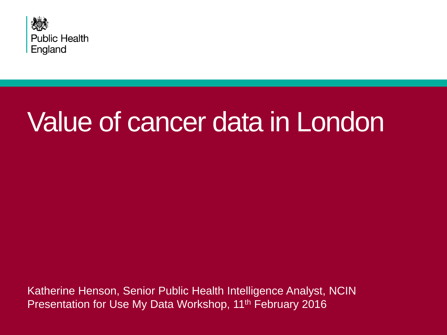

# Value of cancer data in London

Katherine Henson, Senior Public Health Intelligence Analyst, NCIN Presentation for Use My Data Workshop, 11<sup>th</sup> February 2016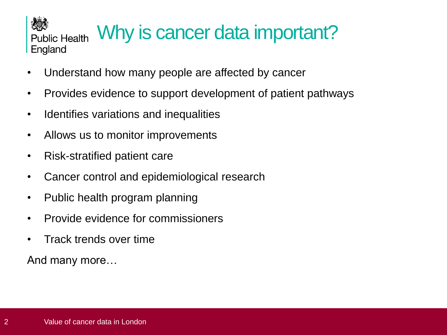### Why is cancer data important? **Public Health** England

- Understand how many people are affected by cancer
- Provides evidence to support development of patient pathways
- Identifies variations and inequalities
- Allows us to monitor improvements
- Risk-stratified patient care
- Cancer control and epidemiological research
- Public health program planning
- Provide evidence for commissioners
- Track trends over time

And many more…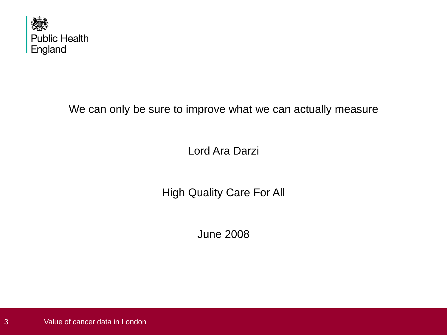

We can only be sure to improve what we can actually measure

Lord Ara Darzi

High Quality Care For All

June 2008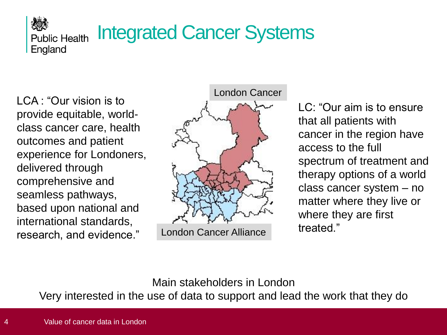### Integrated Cancer Systems **Public Health**

LCA : "Our vision is to provide equitable, worldclass cancer care, health outcomes and patient experience for Londoners, delivered through comprehensive and seamless pathways, based upon national and international standards, research, and evidence."

England



LC: "Our aim is to ensure that all patients with cancer in the region have access to the full spectrum of treatment and therapy options of a world class cancer system – no matter where they live or where they are first treated."

Main stakeholders in London

Very interested in the use of data to support and lead the work that they do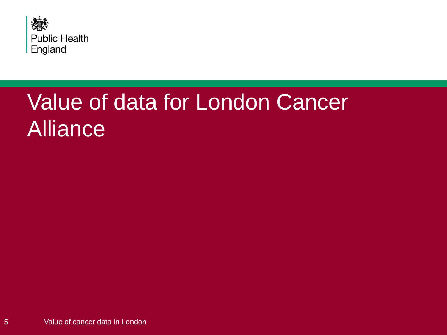

## Value of data for London Cancer Alliance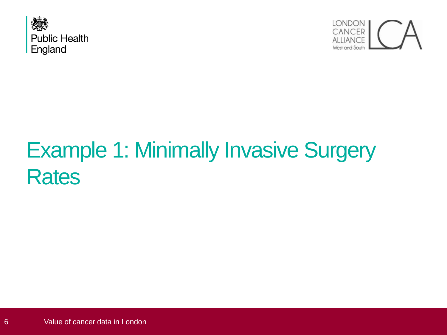



## Example 1: Minimally Invasive Surgery **Rates**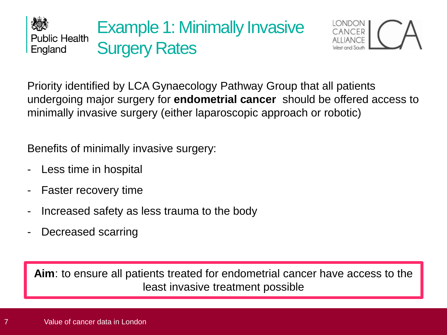



Priority identified by LCA Gynaecology Pathway Group that all patients undergoing major surgery for **endometrial cancer** should be offered access to minimally invasive surgery (either laparoscopic approach or robotic)

Benefits of minimally invasive surgery:

- Less time in hospital
- Faster recovery time
- Increased safety as less trauma to the body
- Decreased scarring

**Aim**: to ensure all patients treated for endometrial cancer have access to the least invasive treatment possible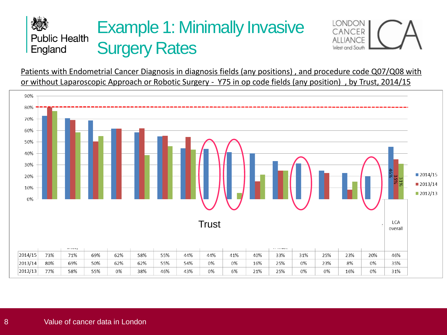### Example 1: Minimally Invasive **Public Health Surgery Rates** England



Patients with Endometrial Cancer Diagnosis in diagnosis fields (any positions) , and procedure code Q07/Q08 with or without Laparoscopic Approach or Robotic Surgery - Y75 in op code fields (any position) , by Trust, 2014/15

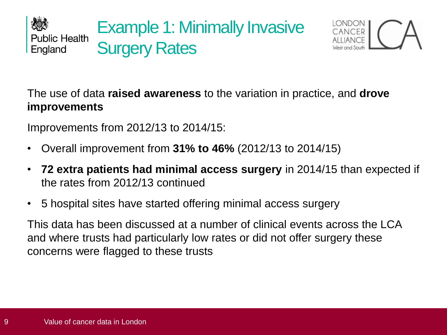



The use of data **raised awareness** to the variation in practice, and **drove improvements**

Improvements from 2012/13 to 2014/15:

- Overall improvement from **31% to 46%** (2012/13 to 2014/15)
- **72 extra patients had minimal access surgery** in 2014/15 than expected if the rates from 2012/13 continued
- 5 hospital sites have started offering minimal access surgery

This data has been discussed at a number of clinical events across the LCA and where trusts had particularly low rates or did not offer surgery these concerns were flagged to these trusts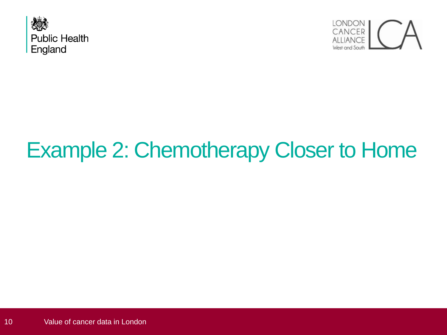



## Example 2: Chemotherapy Closer to Home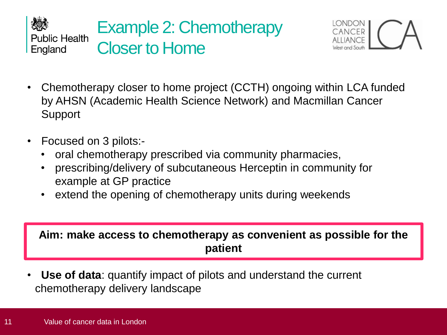



- Chemotherapy closer to home project (CCTH) ongoing within LCA funded by AHSN (Academic Health Science Network) and Macmillan Cancer **Support**
- Focused on 3 pilots:-
	- oral chemotherapy prescribed via community pharmacies,
	- prescribing/delivery of subcutaneous Herceptin in community for example at GP practice
	- extend the opening of chemotherapy units during weekends

**Aim: make access to chemotherapy as convenient as possible for the patient**

• **Use of data**: quantify impact of pilots and understand the current chemotherapy delivery landscape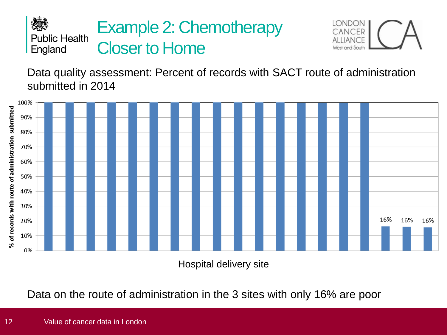#### 次人 Example 2: Chemotherapy **Public Health** Closer to Home England



Data quality assessment: Percent of records with SACT route of administration submitted in 2014



Hospital delivery site

Data on the route of administration in the 3 sites with only 16% are poor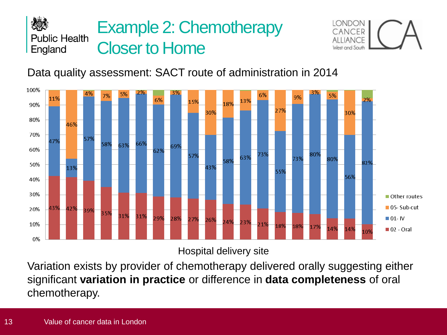



### Data quality assessment: SACT route of administration in 2014



Hospital delivery site

Variation exists by provider of chemotherapy delivered orally suggesting either significant **variation in practice** or difference in **data completeness** of oral chemotherapy.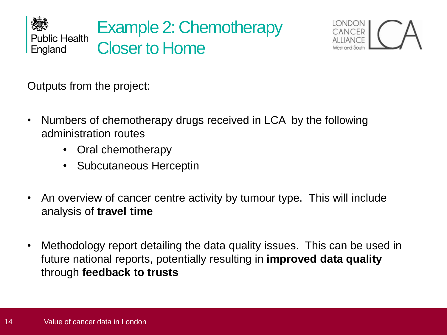



Outputs from the project:

- Numbers of chemotherapy drugs received in LCA by the following administration routes
	- Oral chemotherapy
	- Subcutaneous Herceptin
- An overview of cancer centre activity by tumour type. This will include analysis of **travel time**
- Methodology report detailing the data quality issues. This can be used in future national reports, potentially resulting in **improved data quality**  through **feedback to trusts**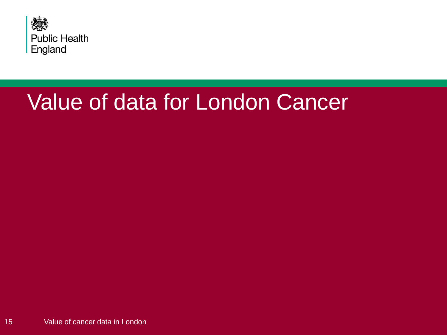

### Value of data for London Cancer

15 Value of cancer data in London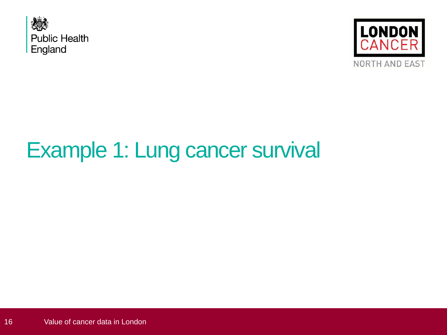



## Example 1: Lung cancer survival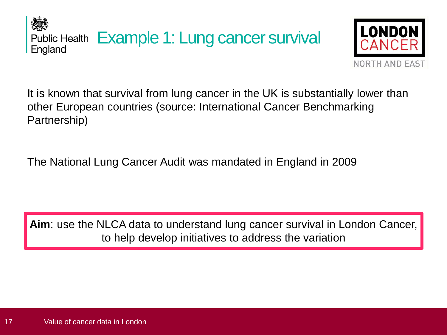Public Health Example 1: Lung cancer survival England



It is known that survival from lung cancer in the UK is substantially lower than other European countries (source: International Cancer Benchmarking Partnership)

The National Lung Cancer Audit was mandated in England in 2009

**Aim**: use the NLCA data to understand lung cancer survival in London Cancer, to help develop initiatives to address the variation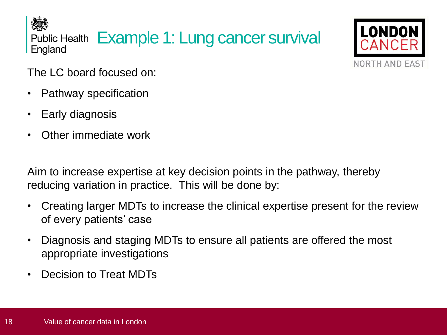役の Public Health Example 1: Lung cancer survival England



The LC board focused on:

- Pathway specification
- Early diagnosis
- Other immediate work

Aim to increase expertise at key decision points in the pathway, thereby reducing variation in practice. This will be done by:

- Creating larger MDTs to increase the clinical expertise present for the review of every patients' case
- Diagnosis and staging MDTs to ensure all patients are offered the most appropriate investigations
- Decision to Treat MDTs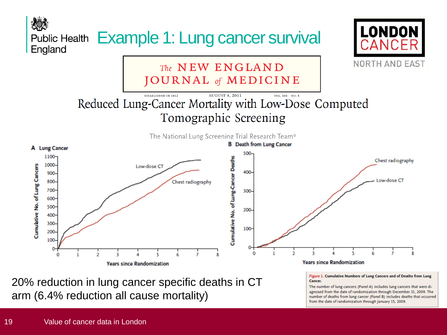

20% reduction in lung cancer specific deaths in CT arm (6.4% reduction all cause mortality)

Figure 1. Cumulative Numbers of Lung Cancers and of Deaths from Lung Cancer.

The number of lung cancers (Panel A) includes lung cancers that were diagnosed from the date of randomization through December 31, 2009. The number of deaths from lung cancer (Panel B) includes deaths that occurred from the date of randomization through January 15, 2009.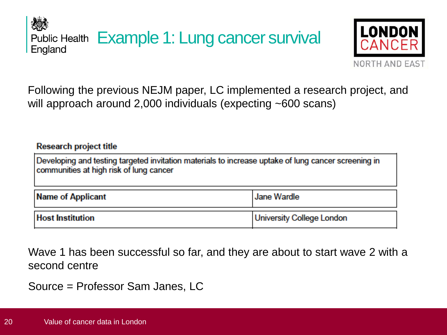Public Health Example 1: Lung cancer survival England



Following the previous NEJM paper, LC implemented a research project, and will approach around 2,000 individuals (expecting ~600 scans)

**Research project title** 

Developing and testing targeted invitation materials to increase uptake of lung cancer screening in communities at high risk of lung cancer

| Name of Applicant       | <b>Jane Wardle</b>        |
|-------------------------|---------------------------|
| <b>Host Institution</b> | University College London |

Wave 1 has been successful so far, and they are about to start wave 2 with a second centre

Source = Professor Sam Janes, LC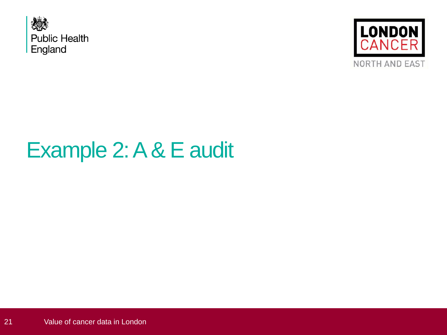



## Example 2: A & E audit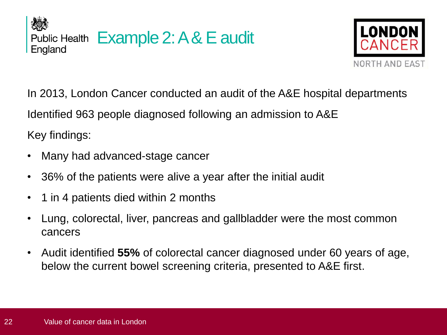



In 2013, London Cancer conducted an audit of the A&E hospital departments Identified 963 people diagnosed following an admission to A&E Key findings:

- Many had advanced-stage cancer
- 36% of the patients were alive a year after the initial audit
- 1 in 4 patients died within 2 months
- Lung, colorectal, liver, pancreas and gallbladder were the most common cancers
- Audit identified **55%** of colorectal cancer diagnosed under 60 years of age, below the current bowel screening criteria, presented to A&E first.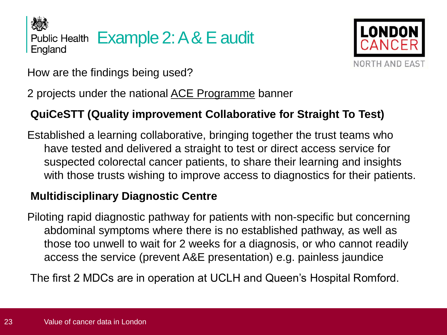



How are the findings being used?

2 projects under the national [ACE Programme](http://www.cancerresearchuk.org/health-professional/early-diagnosis-activities/ace-programme) banner

### **QuiCeSTT (Quality improvement Collaborative for Straight To Test)**

Established a learning collaborative, bringing together the trust teams who have tested and delivered a straight to test or direct access service for suspected colorectal cancer patients, to share their learning and insights with those trusts wishing to improve access to diagnostics for their patients.

### **Multidisciplinary Diagnostic Centre**

Piloting rapid diagnostic pathway for patients with non-specific but concerning abdominal symptoms where there is no established pathway, as well as those too unwell to wait for 2 weeks for a diagnosis, or who cannot readily access the service (prevent A&E presentation) e.g. painless jaundice

The first 2 MDCs are in operation at UCLH and Queen's Hospital Romford.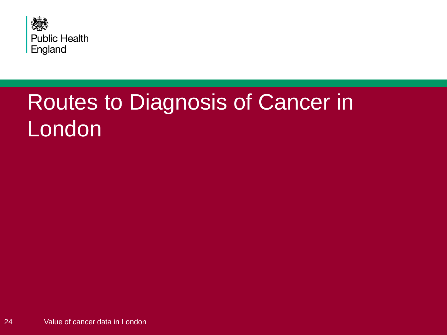

## Routes to Diagnosis of Cancer in London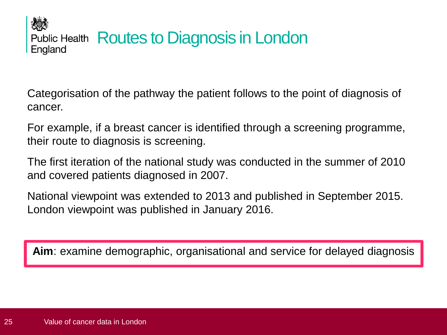人物 Public Health Routes to Diagnosis in London England

Categorisation of the pathway the patient follows to the point of diagnosis of cancer.

For example, if a breast cancer is identified through a screening programme, their route to diagnosis is screening.

The first iteration of the national study was conducted in the summer of 2010 and covered patients diagnosed in 2007.

National viewpoint was extended to 2013 and published in September 2015. London viewpoint was published in January 2016.

**Aim**: examine demographic, organisational and service for delayed diagnosis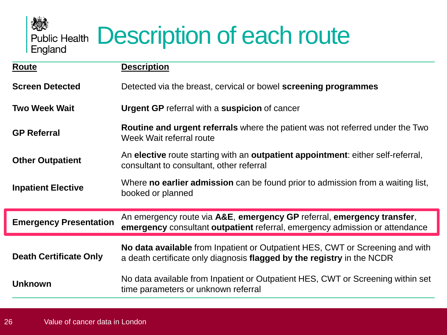

| Route                         | <b>Description</b>                                                                                                                                                  |
|-------------------------------|---------------------------------------------------------------------------------------------------------------------------------------------------------------------|
| <b>Screen Detected</b>        | Detected via the breast, cervical or bowel screening programmes                                                                                                     |
| <b>Two Week Wait</b>          | <b>Urgent GP</b> referral with a suspicion of cancer                                                                                                                |
| <b>GP Referral</b>            | <b>Routine and urgent referrals</b> where the patient was not referred under the Two<br>Week Wait referral route                                                    |
| <b>Other Outpatient</b>       | An elective route starting with an outpatient appointment: either self-referral,<br>consultant to consultant, other referral                                        |
| <b>Inpatient Elective</b>     | Where <b>no earlier admission</b> can be found prior to admission from a waiting list,<br>booked or planned                                                         |
| <b>Emergency Presentation</b> | An emergency route via A&E, emergency GP referral, emergency transfer,<br><b>emergency</b> consultant <b>outpatient</b> referral, emergency admission or attendance |
| <b>Death Certificate Only</b> | No data available from Inpatient or Outpatient HES, CWT or Screening and with<br>a death certificate only diagnosis flagged by the registry in the NCDR             |
| <b>Unknown</b>                | No data available from Inpatient or Outpatient HES, CWT or Screening within set<br>time parameters or unknown referral                                              |

热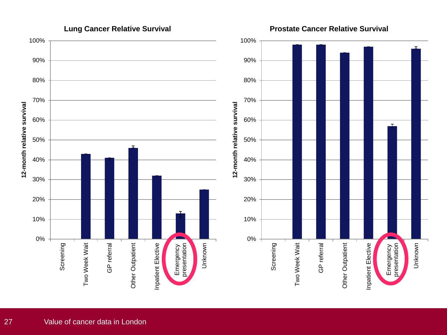

**Prostate Cancer Relative Survival**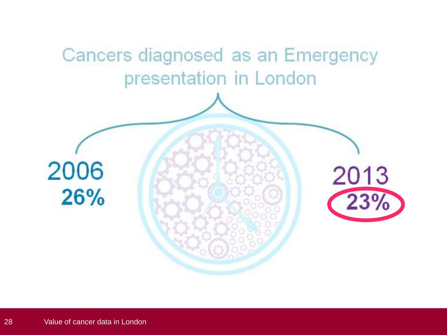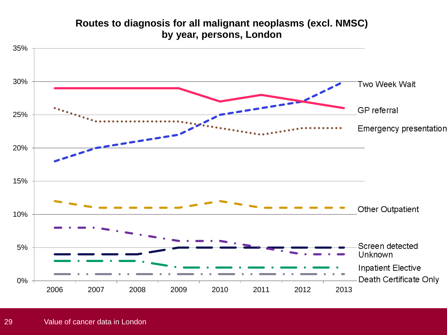### **Routes to diagnosis for all malignant neoplasms (excl. NMSC) by year, persons, London**

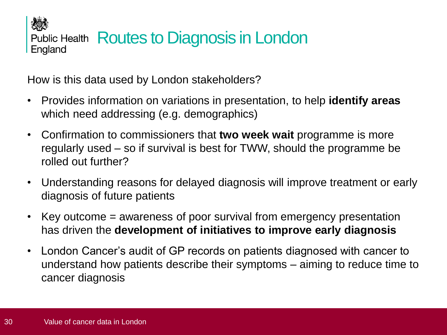人物 Public Health Routes to Diagnosis in London England

How is this data used by London stakeholders?

- Provides information on variations in presentation, to help **identify areas**  which need addressing (e.g. demographics)
- Confirmation to commissioners that **two week wait** programme is more regularly used – so if survival is best for TWW, should the programme be rolled out further?
- Understanding reasons for delayed diagnosis will improve treatment or early diagnosis of future patients
- Key outcome = awareness of poor survival from emergency presentation has driven the **development of initiatives to improve early diagnosis**
- London Cancer's audit of GP records on patients diagnosed with cancer to understand how patients describe their symptoms – aiming to reduce time to cancer diagnosis